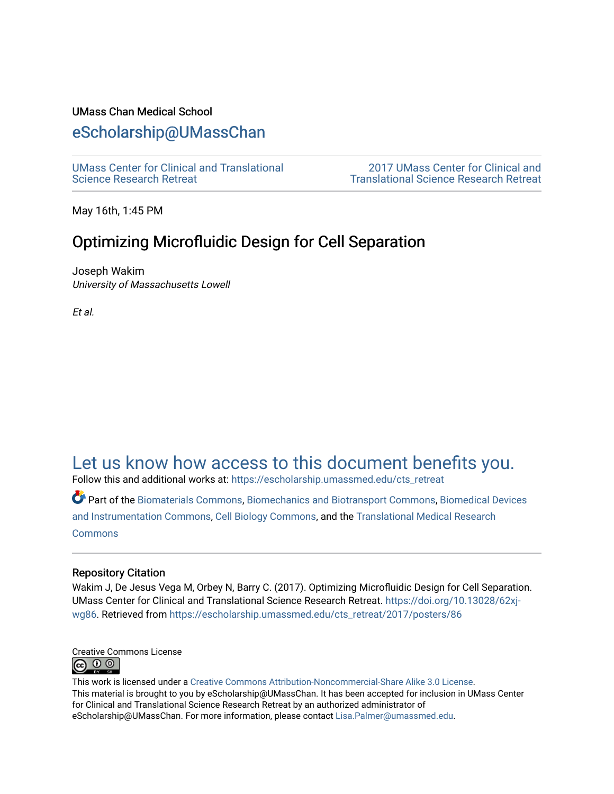## UMass Chan Medical School

# [eScholarship@UMassChan](https://escholarship.umassmed.edu/)

[UMass Center for Clinical and Translational](https://escholarship.umassmed.edu/cts_retreat)  [Science Research Retreat](https://escholarship.umassmed.edu/cts_retreat) 

[2017 UMass Center for Clinical and](https://escholarship.umassmed.edu/cts_retreat/2017)  [Translational Science Research Retreat](https://escholarship.umassmed.edu/cts_retreat/2017) 

May 16th, 1:45 PM

# Optimizing Microfluidic Design for Cell Separation

Joseph Wakim University of Massachusetts Lowell

Et al.

# [Let us know how access to this document benefits you.](https://arcsapps.umassmed.edu/redcap/surveys/?s=XWRHNF9EJE)

Follow this and additional works at: [https://escholarship.umassmed.edu/cts\\_retreat](https://escholarship.umassmed.edu/cts_retreat?utm_source=escholarship.umassmed.edu%2Fcts_retreat%2F2017%2Fposters%2F86&utm_medium=PDF&utm_campaign=PDFCoverPages) 

Part of the [Biomaterials Commons,](http://network.bepress.com/hgg/discipline/233?utm_source=escholarship.umassmed.edu%2Fcts_retreat%2F2017%2Fposters%2F86&utm_medium=PDF&utm_campaign=PDFCoverPages) [Biomechanics and Biotransport Commons](http://network.bepress.com/hgg/discipline/234?utm_source=escholarship.umassmed.edu%2Fcts_retreat%2F2017%2Fposters%2F86&utm_medium=PDF&utm_campaign=PDFCoverPages), [Biomedical Devices](http://network.bepress.com/hgg/discipline/235?utm_source=escholarship.umassmed.edu%2Fcts_retreat%2F2017%2Fposters%2F86&utm_medium=PDF&utm_campaign=PDFCoverPages)  [and Instrumentation Commons](http://network.bepress.com/hgg/discipline/235?utm_source=escholarship.umassmed.edu%2Fcts_retreat%2F2017%2Fposters%2F86&utm_medium=PDF&utm_campaign=PDFCoverPages), [Cell Biology Commons](http://network.bepress.com/hgg/discipline/10?utm_source=escholarship.umassmed.edu%2Fcts_retreat%2F2017%2Fposters%2F86&utm_medium=PDF&utm_campaign=PDFCoverPages), and the [Translational Medical Research](http://network.bepress.com/hgg/discipline/1124?utm_source=escholarship.umassmed.edu%2Fcts_retreat%2F2017%2Fposters%2F86&utm_medium=PDF&utm_campaign=PDFCoverPages)  **[Commons](http://network.bepress.com/hgg/discipline/1124?utm_source=escholarship.umassmed.edu%2Fcts_retreat%2F2017%2Fposters%2F86&utm_medium=PDF&utm_campaign=PDFCoverPages)** 

#### Repository Citation

Wakim J, De Jesus Vega M, Orbey N, Barry C. (2017). Optimizing Microfluidic Design for Cell Separation. UMass Center for Clinical and Translational Science Research Retreat. [https://doi.org/10.13028/62xj](https://doi.org/10.13028/62xj-wg86)[wg86](https://doi.org/10.13028/62xj-wg86). Retrieved from [https://escholarship.umassmed.edu/cts\\_retreat/2017/posters/86](https://escholarship.umassmed.edu/cts_retreat/2017/posters/86?utm_source=escholarship.umassmed.edu%2Fcts_retreat%2F2017%2Fposters%2F86&utm_medium=PDF&utm_campaign=PDFCoverPages) 



This work is licensed under a [Creative Commons Attribution-Noncommercial-Share Alike 3.0 License.](http://creativecommons.org/licenses/by-nc-sa/3.0/) This material is brought to you by eScholarship@UMassChan. It has been accepted for inclusion in UMass Center for Clinical and Translational Science Research Retreat by an authorized administrator of eScholarship@UMassChan. For more information, please contact [Lisa.Palmer@umassmed.edu](mailto:Lisa.Palmer@umassmed.edu).